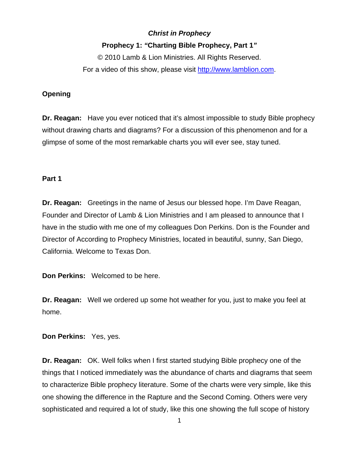# *Christ in Prophecy*

## **Prophecy 1:** *"***Charting Bible Prophecy, Part 1***"*

© 2010 Lamb & Lion Ministries. All Rights Reserved. For a video of this show, please visit [http://www.lamblion.com](http://www.lamblion.com/).

## **Opening**

**Dr. Reagan:** Have you ever noticed that it's almost impossible to study Bible prophecy without drawing charts and diagrams? For a discussion of this phenomenon and for a glimpse of some of the most remarkable charts you will ever see, stay tuned.

#### **Part 1**

**Dr. Reagan:** Greetings in the name of Jesus our blessed hope. I'm Dave Reagan, Founder and Director of Lamb & Lion Ministries and I am pleased to announce that I have in the studio with me one of my colleagues Don Perkins. Don is the Founder and Director of According to Prophecy Ministries, located in beautiful, sunny, San Diego, California. Welcome to Texas Don.

**Don Perkins:** Welcomed to be here.

**Dr. Reagan:** Well we ordered up some hot weather for you, just to make you feel at home.

**Don Perkins:** Yes, yes.

**Dr. Reagan:** OK. Well folks when I first started studying Bible prophecy one of the things that I noticed immediately was the abundance of charts and diagrams that seem to characterize Bible prophecy literature. Some of the charts were very simple, like this one showing the difference in the Rapture and the Second Coming. Others were very sophisticated and required a lot of study, like this one showing the full scope of history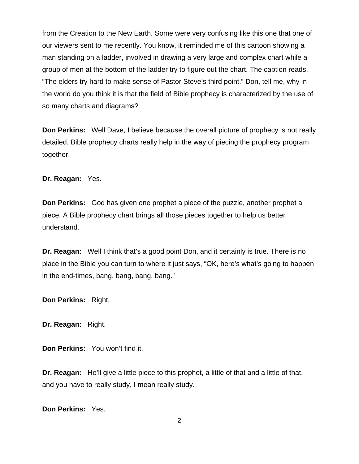from the Creation to the New Earth. Some were very confusing like this one that one of our viewers sent to me recently. You know, it reminded me of this cartoon showing a man standing on a ladder, involved in drawing a very large and complex chart while a group of men at the bottom of the ladder try to figure out the chart. The caption reads, "The elders try hard to make sense of Pastor Steve's third point." Don, tell me, why in the world do you think it is that the field of Bible prophecy is characterized by the use of so many charts and diagrams?

**Don Perkins:** Well Dave, I believe because the overall picture of prophecy is not really detailed. Bible prophecy charts really help in the way of piecing the prophecy program together.

**Dr. Reagan:** Yes.

**Don Perkins:** God has given one prophet a piece of the puzzle, another prophet a piece. A Bible prophecy chart brings all those pieces together to help us better understand.

**Dr. Reagan:** Well I think that's a good point Don, and it certainly is true. There is no place in the Bible you can turn to where it just says, "OK, here's what's going to happen in the end-times, bang, bang, bang, bang."

**Don Perkins:** Right.

**Dr. Reagan:** Right.

**Don Perkins:** You won't find it.

**Dr. Reagan:** He'll give a little piece to this prophet, a little of that and a little of that, and you have to really study, I mean really study.

**Don Perkins:** Yes.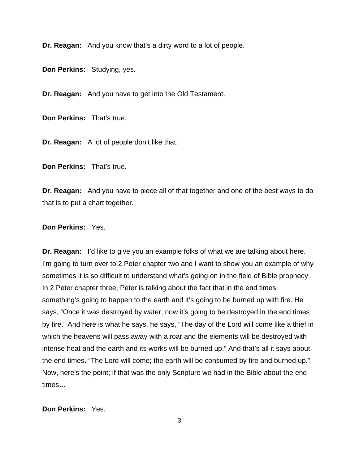**Dr. Reagan:** And you know that's a dirty word to a lot of people.

**Don Perkins:** Studying, yes.

**Dr. Reagan:** And you have to get into the Old Testament.

**Don Perkins:** That's true.

**Dr. Reagan:** A lot of people don't like that.

**Don Perkins:** That's true.

**Dr. Reagan:** And you have to piece all of that together and one of the best ways to do that is to put a chart together.

### **Don Perkins:** Yes.

**Dr. Reagan:** I'd like to give you an example folks of what we are talking about here. I'm going to turn over to 2 Peter chapter two and I want to show you an example of why sometimes it is so difficult to understand what's going on in the field of Bible prophecy. In 2 Peter chapter three, Peter is talking about the fact that in the end times, something's going to happen to the earth and it's going to be burned up with fire. He says, "Once it was destroyed by water, now it's going to be destroyed in the end times by fire." And here is what he says, he says, "The day of the Lord will come like a thief in which the heavens will pass away with a roar and the elements will be destroyed with intense heat and the earth and its works will be burned up." And that's all it says about the end times. "The Lord will come; the earth will be consumed by fire and burned up." Now, here's the point; if that was the only Scripture we had in the Bible about the endtimes…

## **Don Perkins:** Yes.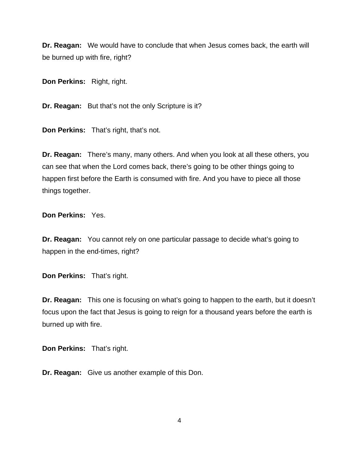**Dr. Reagan:** We would have to conclude that when Jesus comes back, the earth will be burned up with fire, right?

**Don Perkins:** Right, right.

**Dr. Reagan:** But that's not the only Scripture is it?

**Don Perkins:** That's right, that's not.

**Dr. Reagan:** There's many, many others. And when you look at all these others, you can see that when the Lord comes back, there's going to be other things going to happen first before the Earth is consumed with fire. And you have to piece all those things together.

**Don Perkins:** Yes.

**Dr. Reagan:** You cannot rely on one particular passage to decide what's going to happen in the end-times, right?

**Don Perkins:** That's right.

**Dr. Reagan:** This one is focusing on what's going to happen to the earth, but it doesn't focus upon the fact that Jesus is going to reign for a thousand years before the earth is burned up with fire.

**Don Perkins:** That's right.

**Dr. Reagan:** Give us another example of this Don.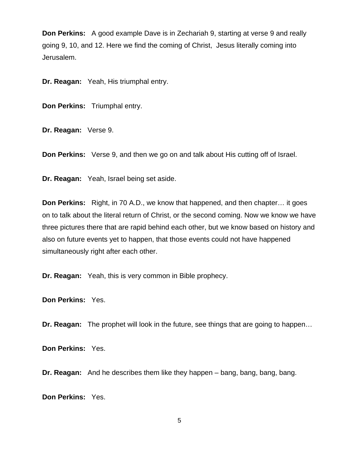**Don Perkins:** A good example Dave is in Zechariah 9, starting at verse 9 and really going 9, 10, and 12. Here we find the coming of Christ, Jesus literally coming into Jerusalem.

**Dr. Reagan:** Yeah, His triumphal entry.

**Don Perkins:** Triumphal entry.

**Dr. Reagan:** Verse 9.

**Don Perkins:** Verse 9, and then we go on and talk about His cutting off of Israel.

**Dr. Reagan:** Yeah, Israel being set aside.

**Don Perkins:** Right, in 70 A.D., we know that happened, and then chapter… it goes on to talk about the literal return of Christ, or the second coming. Now we know we have three pictures there that are rapid behind each other, but we know based on history and also on future events yet to happen, that those events could not have happened simultaneously right after each other.

**Dr. Reagan:** Yeah, this is very common in Bible prophecy.

**Don Perkins:** Yes.

**Dr. Reagan:** The prophet will look in the future, see things that are going to happen…

**Don Perkins:** Yes.

**Dr. Reagan:** And he describes them like they happen – bang, bang, bang, bang.

**Don Perkins:** Yes.

5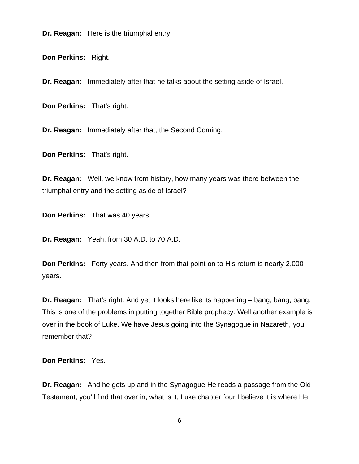**Dr. Reagan:** Here is the triumphal entry.

**Don Perkins:** Right.

**Dr. Reagan:** Immediately after that he talks about the setting aside of Israel.

**Don Perkins:** That's right.

**Dr. Reagan:** Immediately after that, the Second Coming.

**Don Perkins:** That's right.

**Dr. Reagan:** Well, we know from history, how many years was there between the triumphal entry and the setting aside of Israel?

**Don Perkins:** That was 40 years.

**Dr. Reagan:** Yeah, from 30 A.D. to 70 A.D.

**Don Perkins:** Forty years. And then from that point on to His return is nearly 2,000 years.

**Dr. Reagan:** That's right. And yet it looks here like its happening – bang, bang, bang. This is one of the problems in putting together Bible prophecy. Well another example is over in the book of Luke. We have Jesus going into the Synagogue in Nazareth, you remember that?

**Don Perkins:** Yes.

**Dr. Reagan:** And he gets up and in the Synagogue He reads a passage from the Old Testament, you'll find that over in, what is it, Luke chapter four I believe it is where He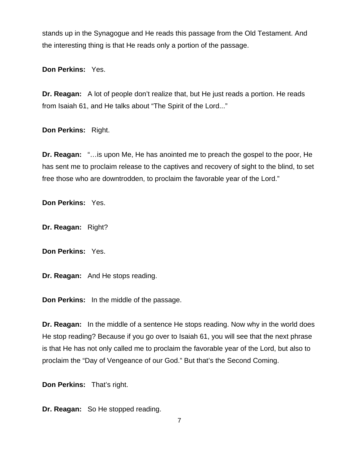stands up in the Synagogue and He reads this passage from the Old Testament. And the interesting thing is that He reads only a portion of the passage.

**Don Perkins:** Yes.

**Dr. Reagan:** A lot of people don't realize that, but He just reads a portion. He reads from Isaiah 61, and He talks about "The Spirit of the Lord..."

**Don Perkins:** Right.

**Dr. Reagan:** "…is upon Me, He has anointed me to preach the gospel to the poor, He has sent me to proclaim release to the captives and recovery of sight to the blind, to set free those who are downtrodden, to proclaim the favorable year of the Lord."

**Don Perkins:** Yes.

**Dr. Reagan:** Right?

**Don Perkins:** Yes.

**Dr. Reagan:** And He stops reading.

**Don Perkins:** In the middle of the passage.

**Dr. Reagan:** In the middle of a sentence He stops reading. Now why in the world does He stop reading? Because if you go over to Isaiah 61, you will see that the next phrase is that He has not only called me to proclaim the favorable year of the Lord, but also to proclaim the "Day of Vengeance of our God." But that's the Second Coming.

**Don Perkins:** That's right.

**Dr. Reagan:** So He stopped reading.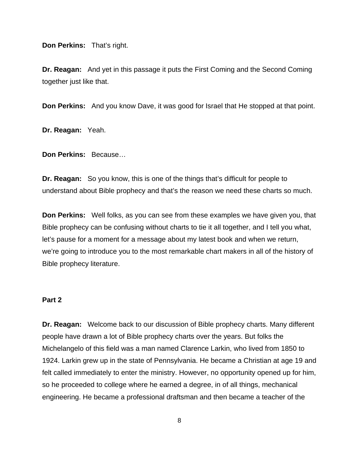**Don Perkins:** That's right.

**Dr. Reagan:** And yet in this passage it puts the First Coming and the Second Coming together just like that.

**Don Perkins:** And you know Dave, it was good for Israel that He stopped at that point.

**Dr. Reagan:** Yeah.

**Don Perkins:** Because…

**Dr. Reagan:** So you know, this is one of the things that's difficult for people to understand about Bible prophecy and that's the reason we need these charts so much.

**Don Perkins:** Well folks, as you can see from these examples we have given you, that Bible prophecy can be confusing without charts to tie it all together, and I tell you what, let's pause for a moment for a message about my latest book and when we return, we're going to introduce you to the most remarkable chart makers in all of the history of Bible prophecy literature.

## **Part 2**

**Dr. Reagan:** Welcome back to our discussion of Bible prophecy charts. Many different people have drawn a lot of Bible prophecy charts over the years. But folks the Michelangelo of this field was a man named Clarence Larkin, who lived from 1850 to 1924. Larkin grew up in the state of Pennsylvania. He became a Christian at age 19 and felt called immediately to enter the ministry. However, no opportunity opened up for him, so he proceeded to college where he earned a degree, in of all things, mechanical engineering. He became a professional draftsman and then became a teacher of the

8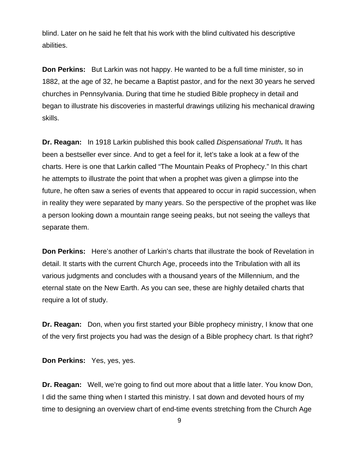blind. Later on he said he felt that his work with the blind cultivated his descriptive abilities.

**Don Perkins:** But Larkin was not happy. He wanted to be a full time minister, so in 1882, at the age of 32, he became a Baptist pastor, and for the next 30 years he served churches in Pennsylvania. During that time he studied Bible prophecy in detail and began to illustrate his discoveries in masterful drawings utilizing his mechanical drawing skills.

**Dr. Reagan:** In 1918 Larkin published this book called *Dispensational Truth.* It has been a bestseller ever since. And to get a feel for it, let's take a look at a few of the charts. Here is one that Larkin called "The Mountain Peaks of Prophecy." In this chart he attempts to illustrate the point that when a prophet was given a glimpse into the future, he often saw a series of events that appeared to occur in rapid succession, when in reality they were separated by many years. So the perspective of the prophet was like a person looking down a mountain range seeing peaks, but not seeing the valleys that separate them.

**Don Perkins:** Here's another of Larkin's charts that illustrate the book of Revelation in detail. It starts with the current Church Age, proceeds into the Tribulation with all its various judgments and concludes with a thousand years of the Millennium, and the eternal state on the New Earth. As you can see, these are highly detailed charts that require a lot of study.

**Dr. Reagan:** Don, when you first started your Bible prophecy ministry, I know that one of the very first projects you had was the design of a Bible prophecy chart. Is that right?

**Don Perkins:** Yes, yes, yes.

**Dr. Reagan:** Well, we're going to find out more about that a little later. You know Don, I did the same thing when I started this ministry. I sat down and devoted hours of my time to designing an overview chart of end-time events stretching from the Church Age

9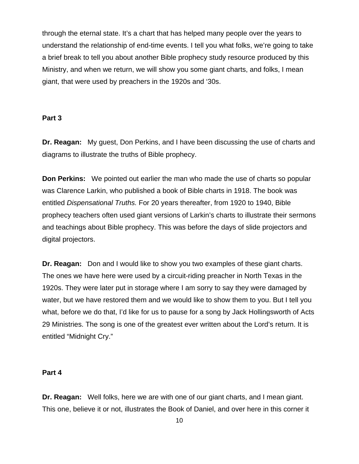through the eternal state. It's a chart that has helped many people over the years to understand the relationship of end-time events. I tell you what folks, we're going to take a brief break to tell you about another Bible prophecy study resource produced by this Ministry, and when we return, we will show you some giant charts, and folks, I mean giant, that were used by preachers in the 1920s and '30s.

#### **Part 3**

**Dr. Reagan:** My guest, Don Perkins, and I have been discussing the use of charts and diagrams to illustrate the truths of Bible prophecy.

**Don Perkins:** We pointed out earlier the man who made the use of charts so popular was Clarence Larkin, who published a book of Bible charts in 1918. The book was entitled *Dispensational Truths.* For 20 years thereafter, from 1920 to 1940, Bible prophecy teachers often used giant versions of Larkin's charts to illustrate their sermons and teachings about Bible prophecy. This was before the days of slide projectors and digital projectors.

**Dr. Reagan:** Don and I would like to show you two examples of these giant charts. The ones we have here were used by a circuit-riding preacher in North Texas in the 1920s. They were later put in storage where I am sorry to say they were damaged by water, but we have restored them and we would like to show them to you. But I tell you what, before we do that, I'd like for us to pause for a song by Jack Hollingsworth of Acts 29 Ministries. The song is one of the greatest ever written about the Lord's return. It is entitled "Midnight Cry."

#### **Part 4**

**Dr. Reagan:** Well folks, here we are with one of our giant charts, and I mean giant. This one, believe it or not, illustrates the Book of Daniel, and over here in this corner it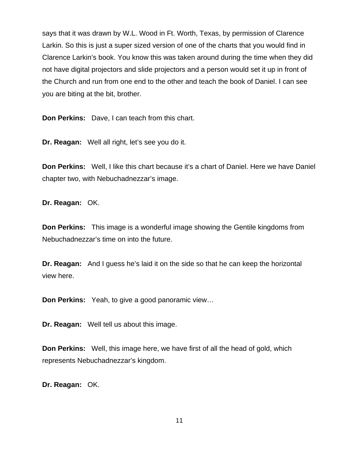says that it was drawn by W.L. Wood in Ft. Worth, Texas, by permission of Clarence Larkin. So this is just a super sized version of one of the charts that you would find in Clarence Larkin's book. You know this was taken around during the time when they did not have digital projectors and slide projectors and a person would set it up in front of the Church and run from one end to the other and teach the book of Daniel. I can see you are biting at the bit, brother.

**Don Perkins:** Dave, I can teach from this chart.

**Dr. Reagan:** Well all right, let's see you do it.

**Don Perkins:** Well, I like this chart because it's a chart of Daniel. Here we have Daniel chapter two, with Nebuchadnezzar's image.

**Dr. Reagan:** OK.

**Don Perkins:** This image is a wonderful image showing the Gentile kingdoms from Nebuchadnezzar's time on into the future.

**Dr. Reagan:** And I guess he's laid it on the side so that he can keep the horizontal view here.

**Don Perkins:** Yeah, to give a good panoramic view…

**Dr. Reagan:** Well tell us about this image.

**Don Perkins:** Well, this image here, we have first of all the head of gold, which represents Nebuchadnezzar's kingdom.

**Dr. Reagan:** OK.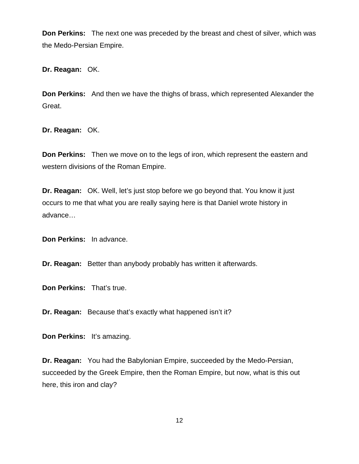**Don Perkins:** The next one was preceded by the breast and chest of silver, which was the Medo-Persian Empire.

**Dr. Reagan:** OK.

**Don Perkins:** And then we have the thighs of brass, which represented Alexander the Great.

**Dr. Reagan:** OK.

**Don Perkins:** Then we move on to the legs of iron, which represent the eastern and western divisions of the Roman Empire.

**Dr. Reagan:** OK. Well, let's just stop before we go beyond that. You know it just occurs to me that what you are really saying here is that Daniel wrote history in advance…

**Don Perkins:** In advance.

**Dr. Reagan:** Better than anybody probably has written it afterwards.

**Don Perkins:** That's true.

**Dr. Reagan:** Because that's exactly what happened isn't it?

**Don Perkins:** It's amazing.

**Dr. Reagan:** You had the Babylonian Empire, succeeded by the Medo-Persian, succeeded by the Greek Empire, then the Roman Empire, but now, what is this out here, this iron and clay?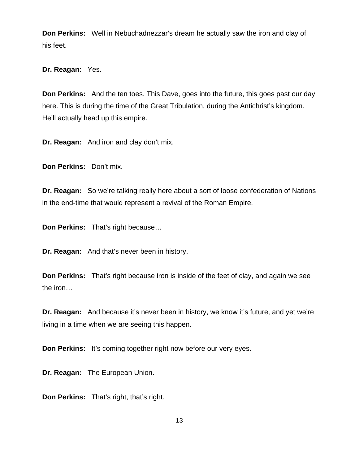**Don Perkins:** Well in Nebuchadnezzar's dream he actually saw the iron and clay of his feet.

**Dr. Reagan:** Yes.

**Don Perkins:** And the ten toes. This Dave, goes into the future, this goes past our day here. This is during the time of the Great Tribulation, during the Antichrist's kingdom. He'll actually head up this empire.

**Dr. Reagan:** And iron and clay don't mix.

**Don Perkins:** Don't mix.

**Dr. Reagan:** So we're talking really here about a sort of loose confederation of Nations in the end-time that would represent a revival of the Roman Empire.

**Don Perkins:** That's right because…

**Dr. Reagan:** And that's never been in history.

**Don Perkins:** That's right because iron is inside of the feet of clay, and again we see the iron…

**Dr. Reagan:** And because it's never been in history, we know it's future, and yet we're living in a time when we are seeing this happen.

**Don Perkins:** It's coming together right now before our very eyes.

**Dr. Reagan:** The European Union.

**Don Perkins:** That's right, that's right.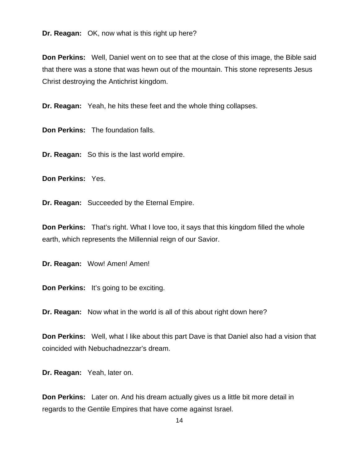**Dr. Reagan:** OK, now what is this right up here?

**Don Perkins:** Well, Daniel went on to see that at the close of this image, the Bible said that there was a stone that was hewn out of the mountain. This stone represents Jesus Christ destroying the Antichrist kingdom.

**Dr. Reagan:** Yeah, he hits these feet and the whole thing collapses.

**Don Perkins:** The foundation falls.

**Dr. Reagan:** So this is the last world empire.

**Don Perkins:** Yes.

**Dr. Reagan:** Succeeded by the Eternal Empire.

**Don Perkins:** That's right. What I love too, it says that this kingdom filled the whole earth, which represents the Millennial reign of our Savior.

**Dr. Reagan:** Wow! Amen! Amen!

**Don Perkins:** It's going to be exciting.

**Dr. Reagan:** Now what in the world is all of this about right down here?

**Don Perkins:** Well, what I like about this part Dave is that Daniel also had a vision that coincided with Nebuchadnezzar's dream.

**Dr. Reagan:** Yeah, later on.

**Don Perkins:** Later on. And his dream actually gives us a little bit more detail in regards to the Gentile Empires that have come against Israel.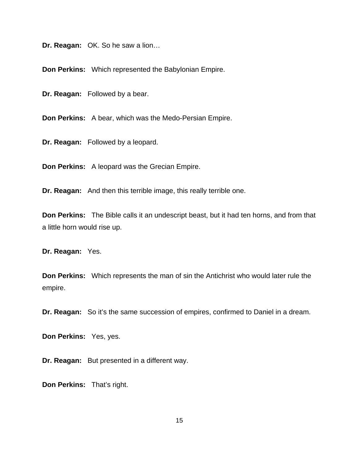**Dr. Reagan:** OK. So he saw a lion…

**Don Perkins:** Which represented the Babylonian Empire.

**Dr. Reagan:** Followed by a bear.

**Don Perkins:** A bear, which was the Medo-Persian Empire.

**Dr. Reagan:** Followed by a leopard.

**Don Perkins:** A leopard was the Grecian Empire.

**Dr. Reagan:** And then this terrible image, this really terrible one.

**Don Perkins:** The Bible calls it an undescript beast, but it had ten horns, and from that a little horn would rise up.

**Dr. Reagan:** Yes.

**Don Perkins:** Which represents the man of sin the Antichrist who would later rule the empire.

**Dr. Reagan:** So it's the same succession of empires, confirmed to Daniel in a dream.

**Don Perkins:** Yes, yes.

**Dr. Reagan:** But presented in a different way.

**Don Perkins:** That's right.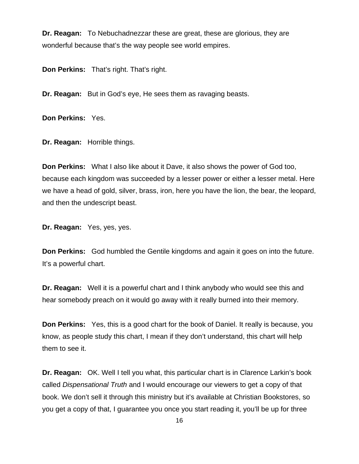**Dr. Reagan:** To Nebuchadnezzar these are great, these are glorious, they are wonderful because that's the way people see world empires.

**Don Perkins:** That's right. That's right.

**Dr. Reagan:** But in God's eye, He sees them as ravaging beasts.

**Don Perkins:** Yes.

**Dr. Reagan:** Horrible things.

**Don Perkins:** What I also like about it Dave, it also shows the power of God too, because each kingdom was succeeded by a lesser power or either a lesser metal. Here we have a head of gold, silver, brass, iron, here you have the lion, the bear, the leopard, and then the undescript beast.

**Dr. Reagan:** Yes, yes, yes.

**Don Perkins:** God humbled the Gentile kingdoms and again it goes on into the future. It's a powerful chart.

**Dr. Reagan:** Well it is a powerful chart and I think anybody who would see this and hear somebody preach on it would go away with it really burned into their memory.

**Don Perkins:** Yes, this is a good chart for the book of Daniel. It really is because, you know, as people study this chart, I mean if they don't understand, this chart will help them to see it.

**Dr. Reagan:** OK. Well I tell you what, this particular chart is in Clarence Larkin's book called *Dispensational Truth* and I would encourage our viewers to get a copy of that book. We don't sell it through this ministry but it's available at Christian Bookstores, so you get a copy of that, I guarantee you once you start reading it, you'll be up for three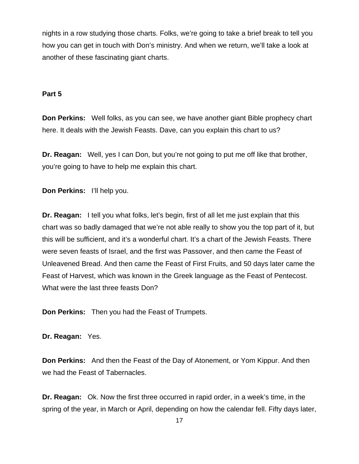nights in a row studying those charts. Folks, we're going to take a brief break to tell you how you can get in touch with Don's ministry. And when we return, we'll take a look at another of these fascinating giant charts.

## **Part 5**

**Don Perkins:** Well folks, as you can see, we have another giant Bible prophecy chart here. It deals with the Jewish Feasts. Dave, can you explain this chart to us?

**Dr. Reagan:** Well, yes I can Don, but you're not going to put me off like that brother, you're going to have to help me explain this chart.

**Don Perkins:** I'll help you.

**Dr. Reagan:** I tell you what folks, let's begin, first of all let me just explain that this chart was so badly damaged that we're not able really to show you the top part of it, but this will be sufficient, and it's a wonderful chart. It's a chart of the Jewish Feasts. There were seven feasts of Israel, and the first was Passover, and then came the Feast of Unleavened Bread. And then came the Feast of First Fruits, and 50 days later came the Feast of Harvest, which was known in the Greek language as the Feast of Pentecost. What were the last three feasts Don?

**Don Perkins:** Then you had the Feast of Trumpets.

**Dr. Reagan:** Yes.

**Don Perkins:** And then the Feast of the Day of Atonement, or Yom Kippur. And then we had the Feast of Tabernacles.

**Dr. Reagan:** Ok. Now the first three occurred in rapid order, in a week's time, in the spring of the year, in March or April, depending on how the calendar fell. Fifty days later,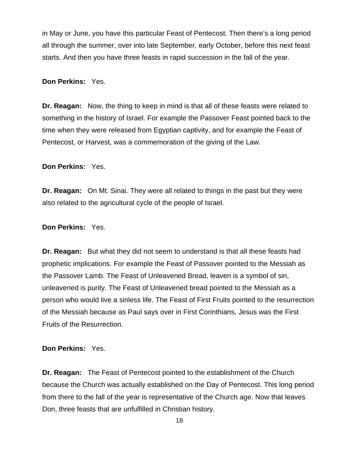in May or June, you have this particular Feast of Pentecost. Then there's a long period all through the summer, over into late September, early October, before this next feast starts. And then you have three feasts in rapid succession in the fall of the year.

## **Don Perkins:** Yes.

**Dr. Reagan:** Now, the thing to keep in mind is that all of these feasts were related to something in the history of Israel. For example the Passover Feast pointed back to the time when they were released from Egyptian captivity, and for example the Feast of Pentecost, or Harvest, was a commemoration of the giving of the Law.

**Don Perkins:** Yes.

**Dr. Reagan:** On Mt. Sinai. They were all related to things in the past but they were also related to the agricultural cycle of the people of Israel.

**Don Perkins:** Yes.

**Dr. Reagan:** But what they did not seem to understand is that all these feasts had prophetic implications. For example the Feast of Passover pointed to the Messiah as the Passover Lamb. The Feast of Unleavened Bread, leaven is a symbol of sin, unleavened is purity. The Feast of Unleavened bread pointed to the Messiah as a person who would live a sinless life. The Feast of First Fruits pointed to the resurrection of the Messiah because as Paul says over in First Corinthians, Jesus was the First Fruits of the Resurrection.

#### **Don Perkins:** Yes.

**Dr. Reagan:** The Feast of Pentecost pointed to the establishment of the Church because the Church was actually established on the Day of Pentecost. This long period from there to the fall of the year is representative of the Church age. Now that leaves Don, three feasts that are unfulfilled in Christian history.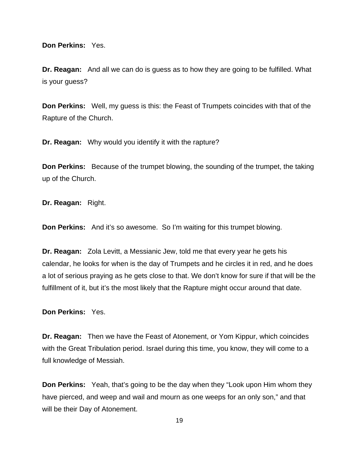**Don Perkins:** Yes.

**Dr. Reagan:** And all we can do is guess as to how they are going to be fulfilled. What is your guess?

**Don Perkins:** Well, my guess is this: the Feast of Trumpets coincides with that of the Rapture of the Church.

**Dr. Reagan:** Why would you identify it with the rapture?

**Don Perkins:** Because of the trumpet blowing, the sounding of the trumpet, the taking up of the Church.

**Dr. Reagan:** Right.

**Don Perkins:** And it's so awesome. So I'm waiting for this trumpet blowing.

**Dr. Reagan:** Zola Levitt, a Messianic Jew, told me that every year he gets his calendar, he looks for when is the day of Trumpets and he circles it in red, and he does a lot of serious praying as he gets close to that. We don't know for sure if that will be the fulfillment of it, but it's the most likely that the Rapture might occur around that date.

**Don Perkins:** Yes.

**Dr. Reagan:** Then we have the Feast of Atonement, or Yom Kippur, which coincides with the Great Tribulation period. Israel during this time, you know, they will come to a full knowledge of Messiah.

**Don Perkins:** Yeah, that's going to be the day when they "Look upon Him whom they have pierced, and weep and wail and mourn as one weeps for an only son," and that will be their Day of Atonement.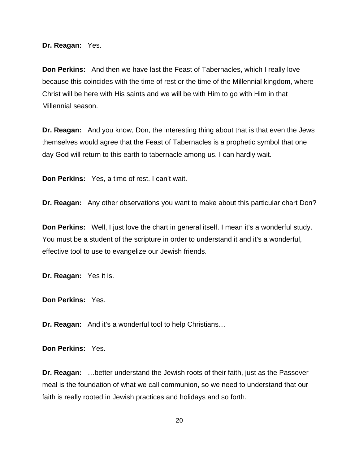**Dr. Reagan:** Yes.

**Don Perkins:** And then we have last the Feast of Tabernacles, which I really love because this coincides with the time of rest or the time of the Millennial kingdom, where Christ will be here with His saints and we will be with Him to go with Him in that Millennial season.

**Dr. Reagan:** And you know, Don, the interesting thing about that is that even the Jews themselves would agree that the Feast of Tabernacles is a prophetic symbol that one day God will return to this earth to tabernacle among us. I can hardly wait.

**Don Perkins:** Yes, a time of rest. I can't wait.

**Dr. Reagan:** Any other observations you want to make about this particular chart Don?

**Don Perkins:** Well, I just love the chart in general itself. I mean it's a wonderful study. You must be a student of the scripture in order to understand it and it's a wonderful, effective tool to use to evangelize our Jewish friends.

**Dr. Reagan:** Yes it is.

**Don Perkins:** Yes.

**Dr. Reagan:** And it's a wonderful tool to help Christians…

**Don Perkins:** Yes.

**Dr. Reagan:** …better understand the Jewish roots of their faith, just as the Passover meal is the foundation of what we call communion, so we need to understand that our faith is really rooted in Jewish practices and holidays and so forth.